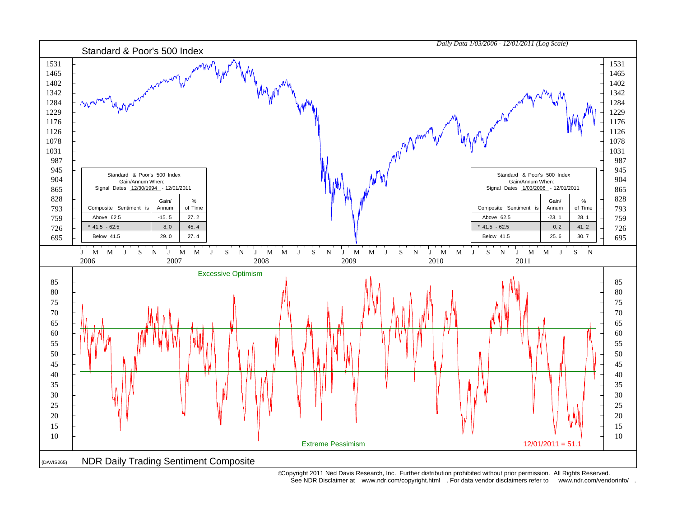

 Copyright 2011 Ned Davis Research, Inc. Further distribution prohibited without prior permission. All Rights Reserved. See NDR Disclaimer at www.ndr.com/copyright.html . For data vendor disclaimers refer to www.ndr.com/vendorinfo/ .